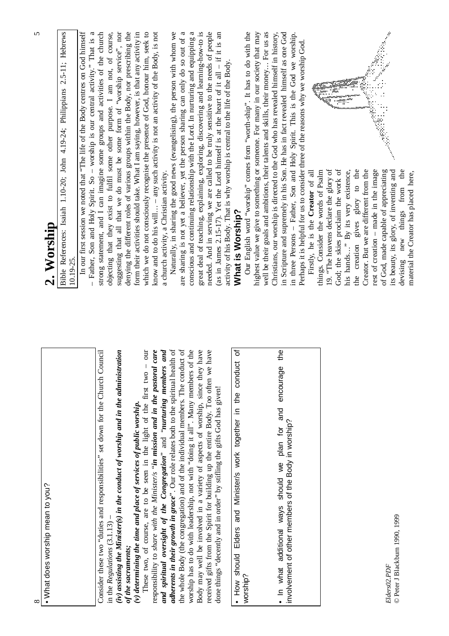| $^{\circ}$                                                                                                                                                    | 5                                                                                                                                                                                                                                                                                    |
|---------------------------------------------------------------------------------------------------------------------------------------------------------------|--------------------------------------------------------------------------------------------------------------------------------------------------------------------------------------------------------------------------------------------------------------------------------------|
| • What does worship mean to you?                                                                                                                              | 2. Worship                                                                                                                                                                                                                                                                           |
|                                                                                                                                                               | 2.5-11; Hebrews<br>Bible References: Isaiah 1.10-20; John 4.19-24; Philippians<br>10.19-25                                                                                                                                                                                           |
|                                                                                                                                                               | In our first session we noted that "The life of the Body centres on God himself<br>Father, Son and Holy Spirit. So - worship is our central activity." That is a                                                                                                                     |
| Consider these two "duties and responsibilities" set down for the Church Council<br>in the $Regularianus$ $(3.1.13)$                                          | strong statement, and I can imagine some groups and activities of the church<br>objecting that they exist to fulfil some other purpose. I am not, of course,                                                                                                                         |
| (iv) assisting the Minister(s) in the conduct of worship and in the administration                                                                            | suggesting that all that we do must be some form of "worship service", nor                                                                                                                                                                                                           |
| (v) determining the time and place of services of public worship.<br>of the sacraments;                                                                       | denying the different roles of various groups within the Body, nor prescribing the<br>form their activities should take. What I am saying, however, is that any activity in                                                                                                          |
| our<br>These two, of course, are to be seen in the light of the first two                                                                                     | which we do not consciously recognise the presence of God, honour him, seek to                                                                                                                                                                                                       |
| and spiritual oversight of the Congregation" and "nurturing members and<br>responsibility to share with the Minister/s "in mission and in the pastoral care   | know and to do his will - any such activity is not an activity of the Body, is not<br>a church activity, a Christian activity.                                                                                                                                                       |
| adherents in their growth in grace". Our role relates both to the spiritual health of                                                                         | Naturally, in sharing the good news (evangelising), the person with whom we                                                                                                                                                                                                          |
| $\omega$<br>the whole Body (the congregation) and of the individual members. The conduct                                                                      | are sharing is not yet a believer, yet the person sharing can only do so out of a                                                                                                                                                                                                    |
| worship has to do with leadership, not with "doing it all". Many members of the                                                                               | conscious and continuing relationship with the Lord. In nurturing and equipping a                                                                                                                                                                                                    |
| Body may well be involved in a variety of aspects of worship, since they have                                                                                 | great deal of teaching, explaining, exploring, discovering and learning-how-to is                                                                                                                                                                                                    |
| received gifts from the Spirit for building up the entire Body. Too often we have<br>done things "decently and in order" by stifling the gifts God has given! | needed. And in serving we are called to be truly sensitive to the needs of people<br>(as in James 2.15-17). Yet the Lord himself is at the heart of it all $-$ if it is an                                                                                                           |
|                                                                                                                                                               | activity of his Body. That is why worship is central to the life of the Body                                                                                                                                                                                                         |
| ৳<br>How should Elders and Minister/s work together in the conduct                                                                                            | What is Worship?                                                                                                                                                                                                                                                                     |
| worship?                                                                                                                                                      | Our English word "worship" comes from "worth-ship". It has to do with the                                                                                                                                                                                                            |
|                                                                                                                                                               | highest value we give to something or someone. For many in our society that may                                                                                                                                                                                                      |
|                                                                                                                                                               | well be their goals and ambitions, their talents and skills, their money  For us as                                                                                                                                                                                                  |
| the<br>. In what additional ways should we plan for and encourage                                                                                             | in Scripture and supremely in his Son. He has in fact revealed himself as one God<br>Christians, our worship is directed to the God who has revealed himself in history,                                                                                                             |
| involvement of other members of the Body in worship?                                                                                                          | in three Persons - Father, Son and Holy Spirit. This is the God we worship.                                                                                                                                                                                                          |
|                                                                                                                                                               | Perhaps it is helpful for us to consider three of the reasons why we worship God.                                                                                                                                                                                                    |
|                                                                                                                                                               | Firstly, he is the Creator of all                                                                                                                                                                                                                                                    |
|                                                                                                                                                               | things. Consider the words of Psalm                                                                                                                                                                                                                                                  |
|                                                                                                                                                               | ang ang pagkalang.<br>Tanggalang<br>janaan paranganan kalendari yang menggunakan dan kalendari dan pada tahun 1879.<br>Kacamatan pada tahun 1879 dan kalendari pada tahun 1879.<br>Kacamatan pada tahun 1879 dan kalendari pada tahun 1879.<br>19. "The heavens declare the glory of |
|                                                                                                                                                               | ð<br>God; the skies proclaim the work                                                                                                                                                                                                                                                |
|                                                                                                                                                               | his hands" By its very existence,                                                                                                                                                                                                                                                    |
|                                                                                                                                                               | glory to the<br>gives<br>creation<br>the                                                                                                                                                                                                                                             |
|                                                                                                                                                               | Creator. But we are different from the                                                                                                                                                                                                                                               |
|                                                                                                                                                               | rest of creation - made in the image<br>of God, made capable of appreciating                                                                                                                                                                                                         |
| Elders02.PDF                                                                                                                                                  | y<br>Ñ<br>its beauty, its glory, of inventing and                                                                                                                                                                                                                                    |
| © Peter J Blackburn 1990, 1999                                                                                                                                | $\mathbf{d}$<br>new things from<br>devising                                                                                                                                                                                                                                          |
|                                                                                                                                                               | material the Creator has placed here,                                                                                                                                                                                                                                                |